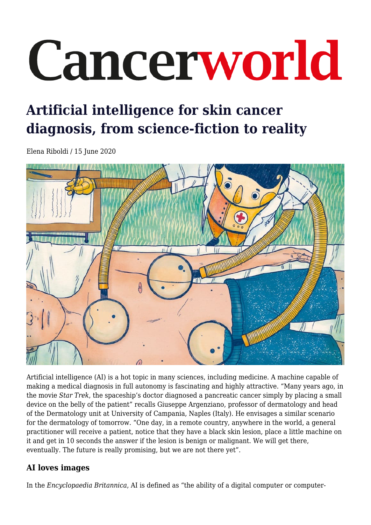# Cancerworld

# **Artificial intelligence for skin cancer diagnosis, from science-fiction to reality**

Elena Riboldi / 15 June 2020



Artificial intelligence (AI) is a hot topic in many sciences, including medicine. A machine capable of making a medical diagnosis in full autonomy is fascinating and highly attractive. "Many years ago, in the movie *Star Trek*, the spaceship's doctor diagnosed a pancreatic cancer simply by placing a small device on the belly of the patient" recalls Giuseppe Argenziano, professor of dermatology and head of the Dermatology unit at University of Campania, Naples (Italy). He envisages a similar scenario for the dermatology of tomorrow. "One day, in a remote country, anywhere in the world, a general practitioner will receive a patient, notice that they have a black skin lesion, place a little machine on it and get in 10 seconds the answer if the lesion is benign or malignant. We will get there, eventually. The future is really promising, but we are not there yet".

## **AI loves images**

In the *Encyclopaedia Britannica*, AI is defined as "the ability of a digital computer or computer-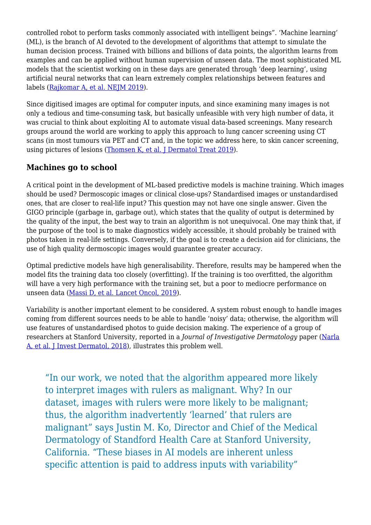controlled robot to perform tasks commonly associated with intelligent beings". 'Machine learning' (ML), is the branch of AI devoted to the development of algorithms that attempt to simulate the human decision process. Trained with billions and billions of data points, the algorithm learns from examples and can be applied without human supervision of unseen data. The most sophisticated ML models that the scientist working on in these days are generated through 'deep learning', using artificial neural networks that can learn extremely complex relationships between features and labels [\(Rajkomar A, et al. NEJM 2019\)](https://www.nejm.org/doi/full/10.1056/NEJMra1814259).

Since digitised images are optimal for computer inputs, and since examining many images is not only a tedious and time-consuming task, but basically unfeasible with very high number of data, it was crucial to think about exploiting AI to automate visual data-based screenings. Many research groups around the world are working to apply this approach to lung cancer screening using CT scans (in most tumours via PET and CT and, in the topic we address here, to skin cancer screening, using pictures of lesions ([Thomsen K, et al. J Dermatol Treat 2019\)](https://www.tandfonline.com/doi/full/10.1080/09546634.2019.1682500).

### **Machines go to school**

A critical point in the development of ML-based predictive models is machine training. Which images should be used? Dermoscopic images or clinical close-ups? Standardised images or unstandardised ones, that are closer to real-life input? This question may not have one single answer. Given the GIGO principle (garbage in, garbage out), which states that the quality of output is determined by the quality of the input, the best way to train an algorithm is not unequivocal. One may think that, if the purpose of the tool is to make diagnostics widely accessible, it should probably be trained with photos taken in real-life settings. Conversely, if the goal is to create a decision aid for clinicians, the use of high quality dermoscopic images would guarantee greater accuracy.

Optimal predictive models have high generalisability. Therefore, results may be hampered when the model fits the training data too closely (overfitting). If the training is too overfitted, the algorithm will have a very high performance with the training set, but a poor to mediocre performance on unseen data ([Massi D, et al. Lancet Oncol, 2019\)](https://www.thelancet.com/journals/lanonc/article/PIIS1470-2045(19)30391-2/fulltext).

Variability is another important element to be considered. A system robust enough to handle images coming from different sources needs to be able to handle 'noisy' data; otherwise, the algorithm will use features of unstandardised photos to guide decision making. The experience of a group of researchers at Stanford University, reported in a *Journal of Investigative Dermatology* paper [\(Narla](https://www.sciencedirect.com/science/article/pii/S0022202X18322930) [A, et al. J Invest Dermatol, 2018\)](https://www.sciencedirect.com/science/article/pii/S0022202X18322930), illustrates this problem well.

"In our work, we noted that the algorithm appeared more likely to interpret images with rulers as malignant. Why? In our dataset, images with rulers were more likely to be malignant; thus, the algorithm inadvertently 'learned' that rulers are malignant" says Justin M. Ko, Director and Chief of the Medical Dermatology of Standford Health Care at Stanford University, California. "These biases in AI models are inherent unless specific attention is paid to address inputs with variability"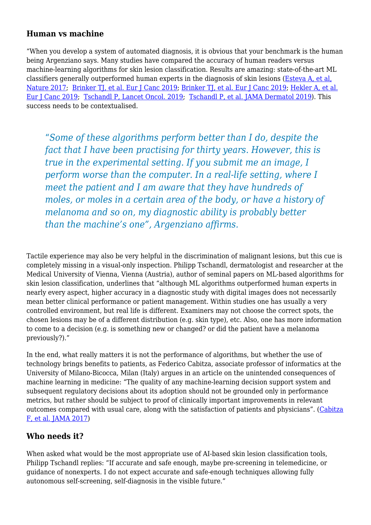#### **Human vs machine**

"When you develop a system of automated diagnosis, it is obvious that your benchmark is the human being Argenziano says. Many studies have compared the accuracy of human readers versus machine-learning algorithms for skin lesion classification. Results are amazing: state-of-the-art ML classifiers generally outperformed human experts in the diagnosis of skin lesions [\(Esteva A, et al,](https://www.nature.com/articles/nature21056) [Nature 2017](https://www.nature.com/articles/nature21056); [Brinker TJ, et al. Eur J Canc 2019;](https://www.ejcancer.com/article/S0959-8049(19)30144-3/fulltext) [Brinker TJ, et al. Eur J Canc 2019;](https://www.ejcancer.com/article/S0959-8049(18)31562-4/fulltext) [Hekler A, et al.](https://www.sciencedirect.com/science/article/pii/S0959804919304277) [Eur J Canc 2019;](https://www.sciencedirect.com/science/article/pii/S0959804919304277) [Tschandl P, Lancet Oncol. 2019;](https://www.thelancet.com/journals/lanonc/article/PIIS1470-2045(19)30333-X/fulltext) [Tschandl P, et al. JAMA Dermatol 2019](https://jamanetwork.com/journals/jamadermatology/fullarticle/2716294)). This success needs to be contextualised.

"*Some of these algorithms perform better than I do, despite the fact that I have been practising for thirty years. However, this is true in the experimental setting. If you submit me an image, I perform worse than the computer. In a real-life setting, where I meet the patient and I am aware that they have hundreds of moles, or moles in a certain area of the body, or have a history of melanoma and so on, my diagnostic ability is probably better than the machine's one", Argenziano affirms.*

Tactile experience may also be very helpful in the discrimination of malignant lesions, but this cue is completely missing in a visual-only inspection. Philipp Tschandl, dermatologist and researcher at the Medical University of Vienna, Vienna (Austria), author of seminal papers on ML-based algorithms for skin lesion classification, underlines that "although ML algorithms outperformed human experts in nearly every aspect, higher accuracy in a diagnostic study with digital images does not necessarily mean better clinical performance or patient management. Within studies one has usually a very controlled environment, but real life is different. Examiners may not choose the correct spots, the chosen lesions may be of a different distribution (e.g. skin type), etc. Also, one has more information to come to a decision (e.g. is something new or changed? or did the patient have a melanoma previously?)."

In the end, what really matters it is not the performance of algorithms, but whether the use of technology brings benefits to patients, as Federico Cabitza, associate professor of informatics at the University of Milano-Bicocca, Milan (Italy) argues in an article on the unintended consequences of machine learning in medicine: "The quality of any machine-learning decision support system and subsequent regulatory decisions about its adoption should not be grounded only in performance metrics, but rather should be subject to proof of clinically important improvements in relevant outcomes compared with usual care, along with the satisfaction of patients and physicians". ([Cabitza](https://jamanetwork.com/journals/jama/article-abstract/2645762) [F, et al. JAMA 2017\)](https://jamanetwork.com/journals/jama/article-abstract/2645762)

#### **Who needs it?**

When asked what would be the most appropriate use of AI-based skin lesion classification tools, Philipp Tschandl replies: "If accurate and safe enough, maybe pre-screening in telemedicine, or guidance of nonexperts. I do not expect accurate and safe-enough techniques allowing fully autonomous self-screening, self-diagnosis in the visible future."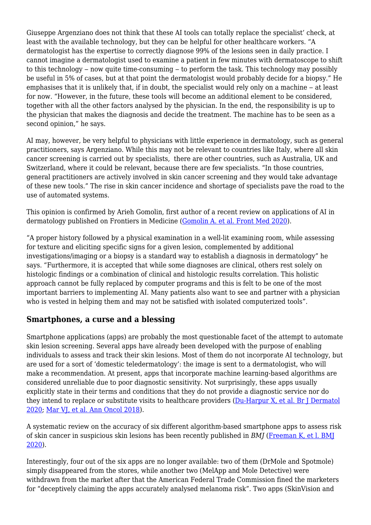Giuseppe Argenziano does not think that these AI tools can totally replace the specialist' check, at least with the available technology, but they can be helpful for other healthcare workers. "A dermatologist has the expertise to correctly diagnose 99% of the lesions seen in daily practice. I cannot imagine a dermatologist used to examine a patient in few minutes with dermatoscope to shift to this technology  $-$  now quite time-consuming  $-$  to perform the task. This technology may possibly be useful in 5% of cases, but at that point the dermatologist would probably decide for a biopsy." He emphasises that it is unlikely that, if in doubt, the specialist would rely only on a machine – at least for now. "However, in the future, these tools will become an additional element to be considered, together with all the other factors analysed by the physician. In the end, the responsibility is up to the physician that makes the diagnosis and decide the treatment. The machine has to be seen as a second opinion," he says.

AI may, however, be very helpful to physicians with little experience in dermatology, such as general practitioners, says Argenziano. While this may not be relevant to countries like Italy, where all skin cancer screening is carried out by specialists, there are other countries, such as Australia, UK and Switzerland, where it could be relevant, because there are few specialists. "In those countries, general practitioners are actively involved in skin cancer screening and they would take advantage of these new tools." The rise in skin cancer incidence and shortage of specialists pave the road to the use of automated systems.

This opinion is confirmed by Arieh Gomolin, first author of a recent review on applications of AI in dermatology published on Frontiers in Medicine ([Gomolin A. et al. Front Med 2020](https://www.frontiersin.org/articles/10.3389/fmed.2020.00100/full)).

"A proper history followed by a physical examination in a well-lit examining room, while assessing for texture and eliciting specific signs for a given lesion, complemented by additional investigations/imaging or a biopsy is a standard way to establish a diagnosis in dermatology" he says. "Furthermore, it is accepted that while some diagnoses are clinical, others rest solely on histologic findings or a combination of clinical and histologic results correlation. This holistic approach cannot be fully replaced by computer programs and this is felt to be one of the most important barriers to implementing AI. Many patients also want to see and partner with a physician who is vested in helping them and may not be satisfied with isolated computerized tools".

#### **Smartphones, a curse and a blessing**

Smartphone applications (apps) are probably the most questionable facet of the attempt to automate skin lesion screening. Several apps have already been developed with the purpose of enabling individuals to assess and track their skin lesions. Most of them do not incorporate AI technology, but are used for a sort of 'domestic teledermatology': the image is sent to a dermatologist, who will make a recommendation. At present, apps that incorporate machine learning-based algorithms are considered unreliable due to poor diagnostic sensitivity. Not surprisingly, these apps usually explicitly state in their terms and conditions that they do not provide a diagnostic service nor do they intend to replace or substitute visits to healthcare providers [\(Du-Harpur X, et al. Br J Dermatol](https://onlinelibrary.wiley.com/doi/abs/10.1111/bjd.18880?af=R) [2020;](https://onlinelibrary.wiley.com/doi/abs/10.1111/bjd.18880?af=R) [Mar VJ, et al. Ann Oncol 2018](https://academic.oup.com/annonc/article/29/8/1625/5004449)).

A systematic review on the accuracy of six different algorithm-based smartphone apps to assess risk of skin cancer in suspicious skin lesions has been recently published in *BMJ* [\(Freeman K, et l. BMJ](http://dx.doi.org/10.1136/bmj.m127) [2020\)](http://dx.doi.org/10.1136/bmj.m127).

Interestingly, four out of the six apps are no longer available: two of them (DrMole and Spotmole) simply disappeared from the stores, while another two (MelApp and Mole Detective) were withdrawn from the market after that the American Federal Trade Commission fined the marketers for "deceptively claiming the apps accurately analysed melanoma risk". Two apps (SkinVision and